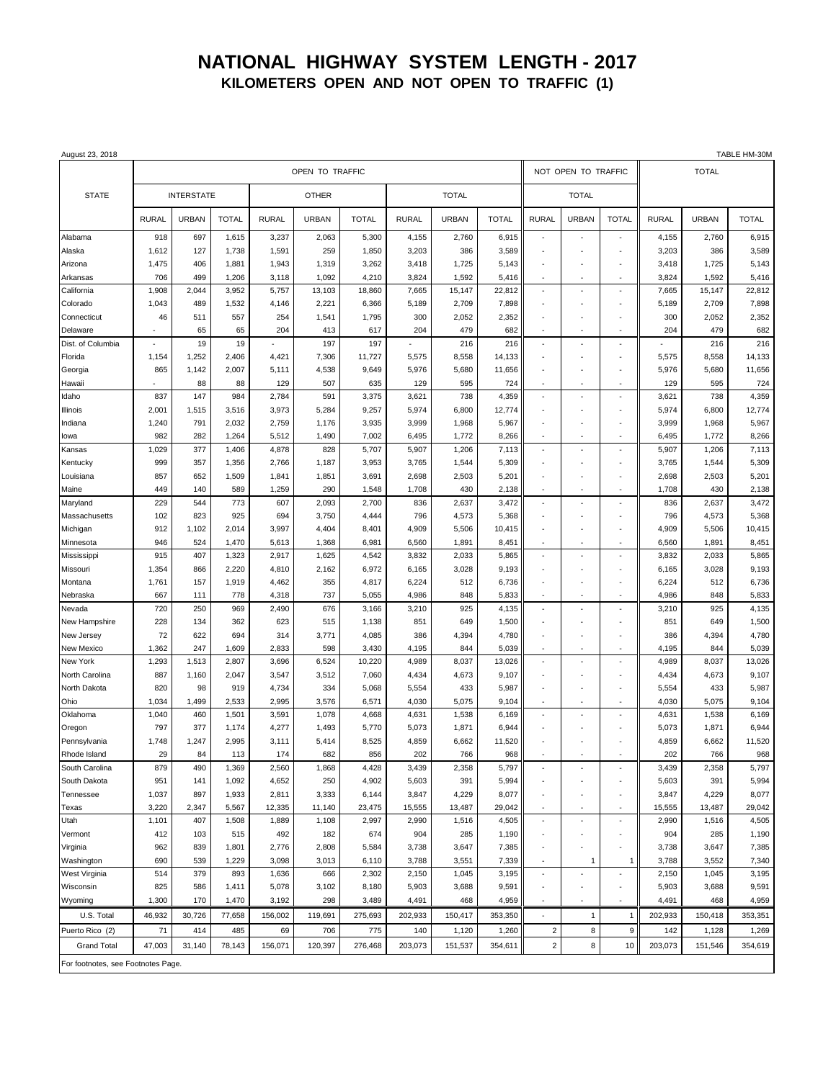## **NATIONAL HIGHWAY SYSTEM LENGTH - 2017 KILOMETERS OPEN AND NOT OPEN TO TRAFFIC (1)**

| August 23, 2018                    |                   |                |                |                |                |                 |                |                |                  |                          |                          |                          |                |                | TABLE HM-30M     |
|------------------------------------|-------------------|----------------|----------------|----------------|----------------|-----------------|----------------|----------------|------------------|--------------------------|--------------------------|--------------------------|----------------|----------------|------------------|
|                                    | OPEN TO TRAFFIC   |                |                |                |                |                 |                |                |                  | NOT OPEN TO TRAFFIC      |                          |                          |                | <b>TOTAL</b>   |                  |
| <b>STATE</b>                       | <b>INTERSTATE</b> |                |                | <b>OTHER</b>   |                |                 | <b>TOTAL</b>   |                |                  | <b>TOTAL</b>             |                          |                          |                |                |                  |
|                                    | <b>RURAL</b>      | <b>URBAN</b>   | <b>TOTAL</b>   | <b>RURAL</b>   | <b>URBAN</b>   | <b>TOTAL</b>    | <b>RURAL</b>   | <b>URBAN</b>   | <b>TOTAL</b>     | <b>RURAL</b>             | <b>URBAN</b>             | <b>TOTAL</b>             | <b>RURAL</b>   | <b>URBAN</b>   | <b>TOTAL</b>     |
| Alabama                            | 918               | 697            | 1,615          | 3,237          | 2,063          | 5,300           | 4,155          | 2,760          | 6,915            | ÷,                       | $\sim$                   | ä,                       | 4,155          | 2,760          | 6,915            |
| Alaska                             | 1,612             | 127            | 1,738          | 1,591          | 259            | 1,850           | 3,203          | 386            | 3,589            |                          |                          |                          | 3,203          | 386            | 3,589            |
| Arizona                            | 1,475             | 406            | 1,881          | 1,943          | 1,319          | 3,262           | 3,418          | 1,725          | 5,143            | $\blacksquare$           | $\overline{\phantom{a}}$ | ٠                        | 3,418          | 1,725          | 5,143            |
| Arkansas                           | 706               | 499            | 1,206          | 3,118          | 1,092          | 4,210           | 3,824          | 1,592          | 5,416            | $\sim$                   | ÷,                       | ÷,                       | 3,824          | 1,592          | 5,416            |
| California                         | 1,908             | 2,044          | 3,952          | 5,757          | 13,103         | 18,860          | 7,665          | 15,147         | 22,812           | $\sim$                   | $\sim$                   | $\sim$                   | 7,665          | 15,147         | 22,812           |
| Colorado                           | 1,043             | 489            | 1,532          | 4,146          | 2,221          | 6,366           | 5,189          | 2,709          | 7,898            |                          |                          | ÷                        | 5,189          | 2,709          | 7,898            |
| Connecticut                        | 46                | 511            | 557            | 254            | 1,541          | 1,795           | 300            | 2,052          | 2,352            |                          |                          |                          | 300            | 2,052          | 2,352            |
| Delaware                           | ٠                 | 65             | 65             | 204            | 413            | 617             | 204            | 479            | 682              | $\overline{\phantom{a}}$ | ÷,                       | ÷,                       | 204            | 479            | 682              |
| Dist. of Columbia                  |                   | 19             | 19             |                | 197            | 197             |                | 216            | 216              | $\sim$                   | ٠.                       | $\overline{\phantom{a}}$ |                | 216            | 216              |
| Florida                            | 1,154<br>865      | 1,252<br>1,142 | 2,406<br>2,007 | 4,421<br>5,111 | 7,306<br>4,538 | 11,727<br>9,649 | 5,575<br>5,976 | 8,558<br>5,680 | 14,133<br>11,656 | $\blacksquare$           | $\overline{\phantom{a}}$ | ÷<br>٠                   | 5,575<br>5,976 | 8,558<br>5,680 | 14,133<br>11,656 |
| Georgia<br>Hawaii                  |                   | 88             | 88             | 129            | 507            | 635             | 129            | 595            | 724              |                          |                          | ł,                       | 129            | 595            | 724              |
| Idaho                              | 837               | 147            | 984            | 2,784          | 591            | 3,375           | 3,621          | 738            | 4,359            | ÷,                       | ÷,                       | $\sim$                   | 3,621          | 738            | 4,359            |
| Illinois                           | 2,001             | 1,515          | 3,516          | 3,973          | 5,284          | 9,257           | 5,974          | 6,800          | 12,774           |                          |                          | ÷                        | 5,974          | 6,800          | 12,774           |
| Indiana                            | 1,240             | 791            | 2,032          | 2,759          | 1,176          | 3,935           | 3,999          | 1,968          | 5,967            |                          |                          |                          | 3,999          | 1,968          | 5,967            |
| lowa                               | 982               | 282            | 1,264          | 5,512          | 1,490          | 7,002           | 6,495          | 1,772          | 8,266            | $\sim$                   | $\sim$                   | $\overline{\phantom{a}}$ | 6,495          | 1,772          | 8,266            |
| Kansas                             | 1,029             | 377            | 1,406          | 4,878          | 828            | 5,707           | 5,907          | 1,206          | 7,113            | $\blacksquare$           |                          | ٠                        | 5,907          | 1,206          | 7,113            |
| Kentucky                           | 999               | 357            | 1,356          | 2,766          | 1,187          | 3,953           | 3,765          | 1,544          | 5,309            |                          | ÷,                       | ÷                        | 3,765          | 1,544          | 5,309            |
| Louisiana                          | 857               | 652            | 1,509          | 1,841          | 1,851          | 3,691           | 2,698          | 2,503          | 5,201            |                          |                          | ÷,                       | 2,698          | 2,503          | 5,201            |
| Maine                              | 449               | 140            | 589            | 1,259          | 290            | 1,548           | 1,708          | 430            | 2,138            | $\blacksquare$           | ÷,                       | ٠                        | 1,708          | 430            | 2,138            |
| Maryland                           | 229               | 544            | 773            | 607            | 2,093          | 2,700           | 836            | 2,637          | 3,472            | ÷,                       | ÷,                       | ÷,                       | 836            | 2,637          | 3,472            |
| Massachusetts                      | 102               | 823            | 925            | 694            | 3,750          | 4,444           | 796            | 4,573          | 5,368            | $\blacksquare$           | ÷,                       | ÷                        | 796            | 4,573          | 5,368            |
| Michigan                           | 912               | 1,102          | 2,014          | 3,997          | 4,404          | 8,401           | 4,909          | 5,506          | 10,415           |                          |                          | ÷,                       | 4,909          | 5,506          | 10,415           |
| Minnesota                          | 946               | 524            | 1,470          | 5,613          | 1,368          | 6,981           | 6,560          | 1,891          | 8,451            | $\overline{\phantom{a}}$ | $\overline{\phantom{a}}$ | $\overline{\phantom{a}}$ | 6,560          | 1,891          | 8,451            |
| Mississippi                        | 915               | 407            | 1,323          | 2,917          | 1,625          | 4,542           | 3,832          | 2,033          | 5,865            | $\sim$                   |                          | ÷,                       | 3,832          | 2,033          | 5,865            |
| Missouri                           | 1,354             | 866            | 2,220          | 4,810          | 2,162          | 6,972           | 6,165          | 3,028          | 9,193            | $\overline{\phantom{a}}$ | ÷.                       | $\ddot{\phantom{1}}$     | 6,165          | 3,028          | 9,193            |
| Montana                            | 1,761             | 157            | 1,919          | 4,462          | 355            | 4,817           | 6,224          | 512            | 6,736            | $\overline{\phantom{a}}$ | ÷                        | ÷,                       | 6,224          | 512            | 6,736            |
| Nebraska                           | 667               | 111            | 778            | 4,318          | 737            | 5,055           | 4,986          | 848            | 5,833            | $\overline{\phantom{a}}$ | $\overline{\phantom{a}}$ | $\overline{\phantom{a}}$ | 4,986          | 848            | 5,833            |
| Nevada                             | 720               | 250            | 969            | 2,490          | 676            | 3,166           | 3,210          | 925            | 4,135            | ×,                       | ÷,                       | ä,                       | 3,210          | 925            | 4,135            |
| New Hampshire                      | 228               | 134            | 362            | 623            | 515            | 1,138           | 851            | 649            | 1,500            |                          |                          | ÷,                       | 851            | 649            | 1,500            |
| New Jersey                         | 72                | 622            | 694            | 314            | 3,771          | 4,085           | 386            | 4,394          | 4,780            |                          |                          |                          | 386            | 4,394          | 4,780            |
| New Mexico                         | 1,362             | 247            | 1,609          | 2,833          | 598            | 3,430           | 4,195          | 844            | 5,039            | $\overline{\phantom{a}}$ | $\overline{\phantom{a}}$ | $\overline{\phantom{a}}$ | 4,195          | 844            | 5,039            |
| New York                           | 1,293             | 1,513          | 2,807          | 3,696          | 6,524          | 10,220          | 4,989          | 8,037          | 13,026           |                          |                          |                          | 4,989          | 8,037          | 13,026           |
| North Carolina                     | 887               | 1,160          | 2,047          | 3,547          | 3,512          | 7,060           | 4,434          | 4,673          | 9,107            | $\overline{\phantom{a}}$ | ٠.                       | $\ddot{\phantom{1}}$     | 4,434          | 4,673          | 9,107            |
| North Dakota                       | 820               | 98             | 919            | 4,734          | 334            | 5,068           | 5,554          | 433            | 5,987            | $\overline{\phantom{a}}$ |                          | ÷                        | 5,554          | 433            | 5,987            |
| Ohio<br>Oklahoma                   | 1,034<br>1,040    | 1,499<br>460   | 2,533          | 2,995<br>3,591 | 3,576<br>1,078 | 6,571           | 4,030<br>4,631 | 5,075          | 9,104            | $\sim$                   | ٠<br>÷,                  | ٠<br>÷,                  | 4,030<br>4,631 | 5,075          | 9,104<br>6,169   |
| Oregon                             | 797               | 377            | 1,501<br>1,174 | 4,277          | 1,493          | 4,668<br>5,770  | 5,073          | 1,538<br>1,871 | 6,169<br>6,944   |                          | ÷,                       | ä,                       | 5,073          | 1,538<br>1,871 | 6,944            |
| Pennsylvania                       | 1,748             | 1,247          | 2,995          | 3,111          | 5,414          | 8,525           | 4,859          | 6,662          | 11,520           |                          |                          |                          | 4,859          | 6,662          | 11,520           |
| Rhode Island                       | 29                | 84             | 113            | 174            | 682            | 856             | 202            | 766            | 968              |                          |                          |                          | 202            | 766            | 968              |
| South Carolina                     | 879               | 490            | 1,369          | 2,560          | 1,868          | 4,428           | 3,439          | 2,358          | 5,797            |                          |                          |                          | 3,439          | 2,358          | 5,797            |
| South Dakota                       | 951               | 141            | 1,092          | 4,652          | 250            | 4,902           | 5,603          | 391            | 5,994            | $\sim$                   |                          | ÷,                       | 5,603          | 391            | 5,994            |
| Tennessee                          | 1,037             | 897            | 1,933          | 2,811          | 3,333          | 6,144           | 3,847          | 4,229          | 8,077            | $\blacksquare$           |                          | ÷,                       | 3,847          | 4,229          | 8,077            |
| Texas                              | 3,220             | 2,347          | 5,567          | 12,335         | 11,140         | 23,475          | 15,555         | 13,487         | 29,042           | $\overline{\phantom{a}}$ |                          | $\overline{\phantom{a}}$ | 15,555         | 13,487         | 29,042           |
| Utah                               | 1,101             | 407            | 1,508          | 1,889          | 1,108          | 2,997           | 2,990          | 1,516          | 4,505            | $\overline{\phantom{a}}$ | $\overline{\phantom{a}}$ | $\overline{\phantom{a}}$ | 2,990          | 1,516          | 4,505            |
| Vermont                            | 412               | 103            | 515            | 492            | 182            | 674             | 904            | 285            | 1,190            | $\sim$                   |                          | ÷,                       | 904            | 285            | 1,190            |
| Virginia                           | 962               | 839            | 1,801          | 2,776          | 2,808          | 5,584           | 3,738          | 3,647          | 7,385            | $\sim$                   |                          | $\sim$                   | 3,738          | 3,647          | 7,385            |
| Washington                         | 690               | 539            | 1,229          | 3,098          | 3,013          | 6,110           | 3,788          | 3,551          | 7,339            | $\overline{\phantom{a}}$ | 1                        | $\mathbf{1}$             | 3,788          | 3,552          | 7,340            |
| West Virginia                      | 514               | 379            | 893            | 1,636          | 666            | 2,302           | 2,150          | 1,045          | 3,195            | $\overline{\phantom{a}}$ |                          | ÷,                       | 2,150          | 1,045          | 3,195            |
| Wisconsin                          | 825               | 586            | 1,411          | 5,078          | 3,102          | 8,180           | 5,903          | 3,688          | 9,591            | $\sim$                   | ÷,                       | ×,                       | 5,903          | 3,688          | 9,591            |
| Wyoming                            | 1,300             | 170            | 1,470          | 3,192          | 298            | 3,489           | 4,491          | 468            | 4,959            | $\blacksquare$           | ×                        | ٠                        | 4,491          | 468            | 4,959            |
| U.S. Total                         | 46,932            | 30,726         | 77,658         | 156,002        | 119,691        | 275,693         | 202,933        | 150,417        | 353,350          | $\overline{\phantom{a}}$ | $\mathbf{1}$             | $\mathbf{1}$             | 202,933        | 150,418        | 353,351          |
| Puerto Rico (2)                    | 71                | 414            | 485            | 69             | 706            | 775             | 140            | 1,120          | 1,260            | $\overline{c}$           | 8                        | 9                        | 142            | 1,128          | 1,269            |
| <b>Grand Total</b>                 | 47,003            | 31,140         | 78,143         | 156,071        | 120,397        | 276,468         | 203,073        | 151,537        | 354,611          | $\overline{c}$           | 8                        | 10                       | 203,073        | 151,546        | 354,619          |
| For footnotes, see Footnotes Page. |                   |                |                |                |                |                 |                |                |                  |                          |                          |                          |                |                |                  |